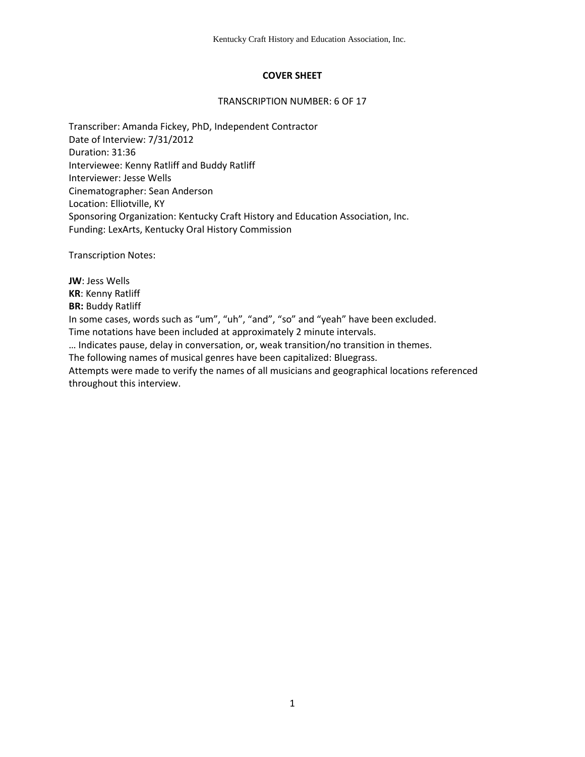## **COVER SHEET**

### TRANSCRIPTION NUMBER: 6 OF 17

Transcriber: Amanda Fickey, PhD, Independent Contractor Date of Interview: 7/31/2012 Duration: 31:36 Interviewee: Kenny Ratliff and Buddy Ratliff Interviewer: Jesse Wells Cinematographer: Sean Anderson Location: Elliotville, KY Sponsoring Organization: Kentucky Craft History and Education Association, Inc. Funding: LexArts, Kentucky Oral History Commission

Transcription Notes:

**JW**: Jess Wells **KR**: Kenny Ratliff **BR:** Buddy Ratliff In some cases, words such as "um", "uh", "and", "so" and "yeah" have been excluded. Time notations have been included at approximately 2 minute intervals. … Indicates pause, delay in conversation, or, weak transition/no transition in themes. The following names of musical genres have been capitalized: Bluegrass. Attempts were made to verify the names of all musicians and geographical locations referenced throughout this interview.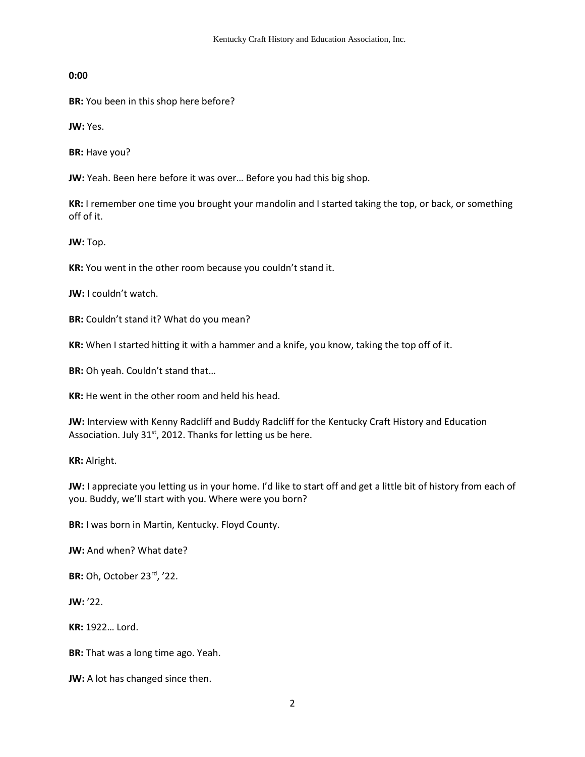**0:00** 

**BR:** You been in this shop here before?

**JW:** Yes.

**BR:** Have you?

**JW:** Yeah. Been here before it was over… Before you had this big shop.

**KR:** I remember one time you brought your mandolin and I started taking the top, or back, or something off of it.

**JW:** Top.

**KR:** You went in the other room because you couldn't stand it.

**JW:** I couldn't watch.

**BR:** Couldn't stand it? What do you mean?

**KR:** When I started hitting it with a hammer and a knife, you know, taking the top off of it.

**BR:** Oh yeah. Couldn't stand that…

**KR:** He went in the other room and held his head.

**JW:** Interview with Kenny Radcliff and Buddy Radcliff for the Kentucky Craft History and Education Association. July  $31<sup>st</sup>$ , 2012. Thanks for letting us be here.

**KR:** Alright.

**JW:** I appreciate you letting us in your home. I'd like to start off and get a little bit of history from each of you. Buddy, we'll start with you. Where were you born?

**BR:** I was born in Martin, Kentucky. Floyd County.

**JW:** And when? What date?

**BR:** Oh, October 23rd, '22.

**JW:** '22.

**KR:** 1922… Lord.

**BR:** That was a long time ago. Yeah.

**JW:** A lot has changed since then.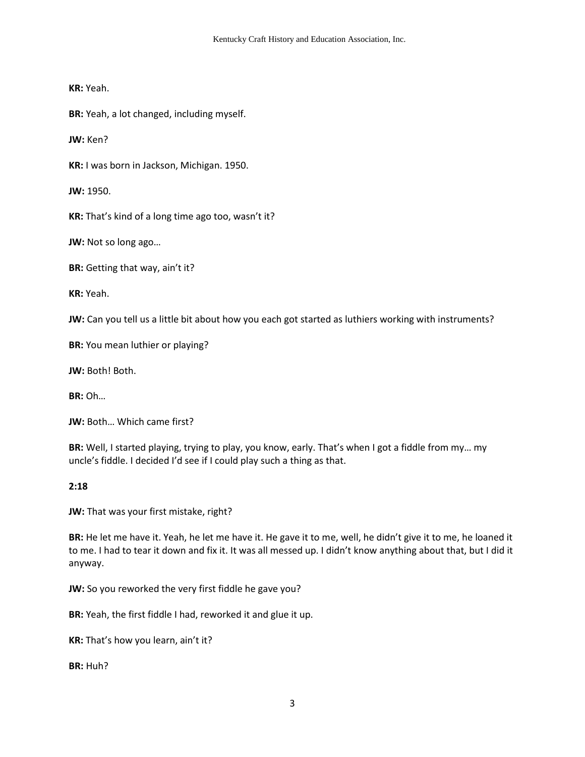**KR:** Yeah.

**BR:** Yeah, a lot changed, including myself.

**JW:** Ken?

**KR:** I was born in Jackson, Michigan. 1950.

**JW:** 1950.

**KR:** That's kind of a long time ago too, wasn't it?

**JW:** Not so long ago…

**BR:** Getting that way, ain't it?

**KR:** Yeah.

**JW:** Can you tell us a little bit about how you each got started as luthiers working with instruments?

**BR:** You mean luthier or playing?

**JW:** Both! Both.

**BR:** Oh…

**JW:** Both… Which came first?

**BR:** Well, I started playing, trying to play, you know, early. That's when I got a fiddle from my… my uncle's fiddle. I decided I'd see if I could play such a thing as that.

## **2:18**

**JW:** That was your first mistake, right?

**BR:** He let me have it. Yeah, he let me have it. He gave it to me, well, he didn't give it to me, he loaned it to me. I had to tear it down and fix it. It was all messed up. I didn't know anything about that, but I did it anyway.

**JW:** So you reworked the very first fiddle he gave you?

**BR:** Yeah, the first fiddle I had, reworked it and glue it up.

**KR:** That's how you learn, ain't it?

**BR:** Huh?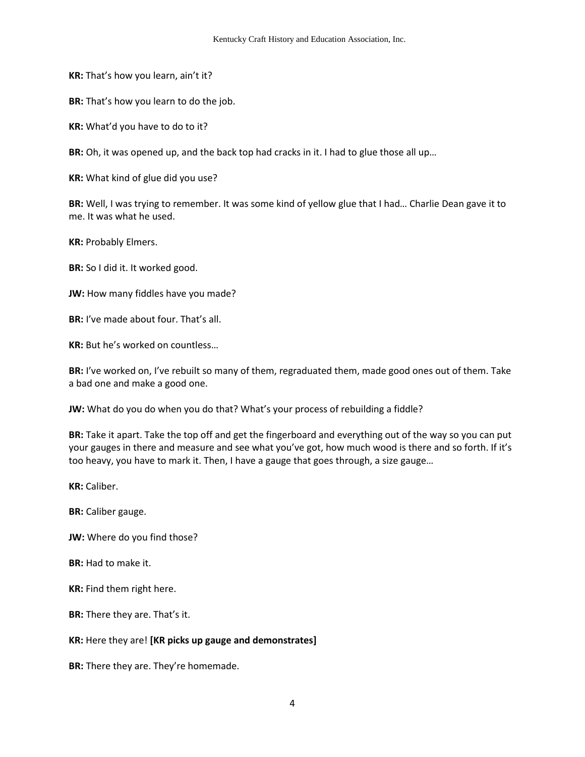**KR:** That's how you learn, ain't it?

**BR:** That's how you learn to do the job.

**KR:** What'd you have to do to it?

**BR:** Oh, it was opened up, and the back top had cracks in it. I had to glue those all up…

**KR:** What kind of glue did you use?

**BR:** Well, I was trying to remember. It was some kind of yellow glue that I had… Charlie Dean gave it to me. It was what he used.

**KR:** Probably Elmers.

**BR:** So I did it. It worked good.

**JW:** How many fiddles have you made?

**BR:** I've made about four. That's all.

**KR:** But he's worked on countless…

**BR:** I've worked on, I've rebuilt so many of them, regraduated them, made good ones out of them. Take a bad one and make a good one.

**JW:** What do you do when you do that? What's your process of rebuilding a fiddle?

**BR:** Take it apart. Take the top off and get the fingerboard and everything out of the way so you can put your gauges in there and measure and see what you've got, how much wood is there and so forth. If it's too heavy, you have to mark it. Then, I have a gauge that goes through, a size gauge…

**KR:** Caliber.

**BR:** Caliber gauge.

**JW:** Where do you find those?

**BR:** Had to make it.

**KR:** Find them right here.

**BR:** There they are. That's it.

**KR:** Here they are! **[KR picks up gauge and demonstrates]**

**BR:** There they are. They're homemade.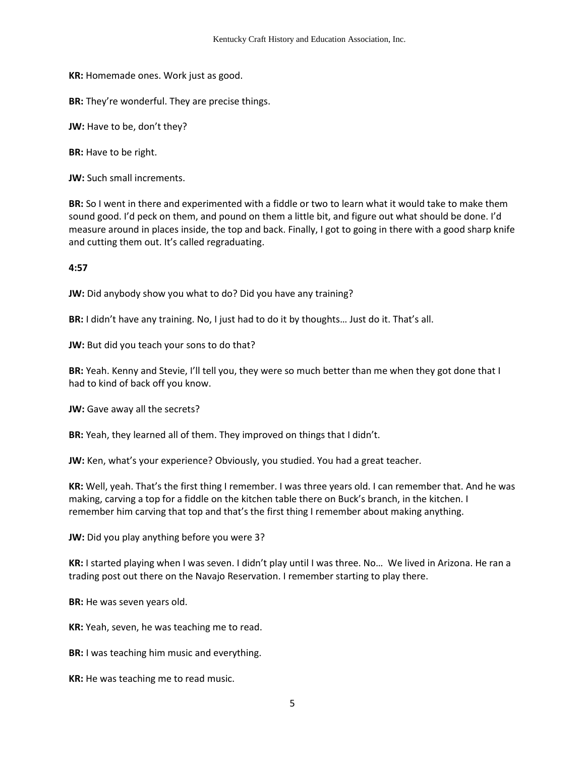**KR:** Homemade ones. Work just as good.

**BR:** They're wonderful. They are precise things.

**JW:** Have to be, don't they?

**BR:** Have to be right.

**JW:** Such small increments.

**BR:** So I went in there and experimented with a fiddle or two to learn what it would take to make them sound good. I'd peck on them, and pound on them a little bit, and figure out what should be done. I'd measure around in places inside, the top and back. Finally, I got to going in there with a good sharp knife and cutting them out. It's called regraduating.

**4:57**

**JW:** Did anybody show you what to do? Did you have any training?

**BR:** I didn't have any training. No, I just had to do it by thoughts… Just do it. That's all.

**JW:** But did you teach your sons to do that?

**BR:** Yeah. Kenny and Stevie, I'll tell you, they were so much better than me when they got done that I had to kind of back off you know.

**JW:** Gave away all the secrets?

**BR:** Yeah, they learned all of them. They improved on things that I didn't.

**JW:** Ken, what's your experience? Obviously, you studied. You had a great teacher.

**KR:** Well, yeah. That's the first thing I remember. I was three years old. I can remember that. And he was making, carving a top for a fiddle on the kitchen table there on Buck's branch, in the kitchen. I remember him carving that top and that's the first thing I remember about making anything.

**JW:** Did you play anything before you were 3?

**KR:** I started playing when I was seven. I didn't play until I was three. No… We lived in Arizona. He ran a trading post out there on the Navajo Reservation. I remember starting to play there.

**BR:** He was seven years old.

**KR:** Yeah, seven, he was teaching me to read.

**BR:** I was teaching him music and everything.

**KR:** He was teaching me to read music.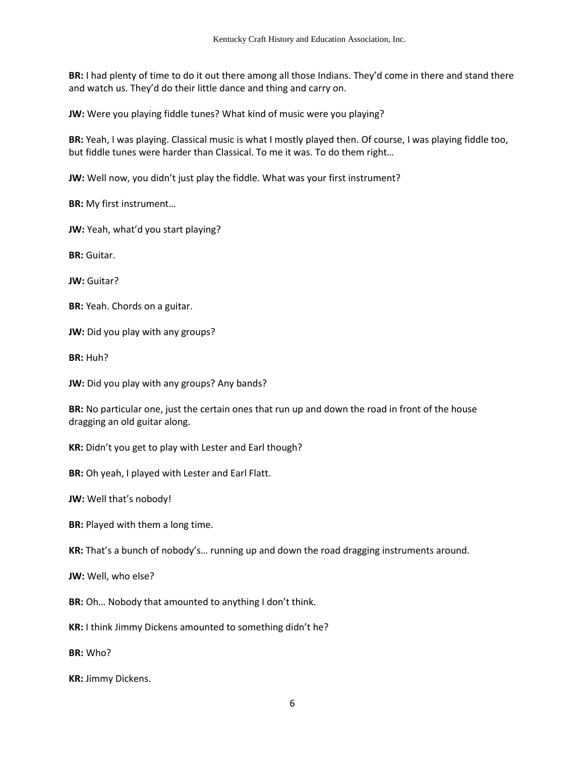**BR:** I had plenty of time to do it out there among all those Indians. They'd come in there and stand there and watch us. They'd do their little dance and thing and carry on.

**JW:** Were you playing fiddle tunes? What kind of music were you playing?

**BR:** Yeah, I was playing. Classical music is what I mostly played then. Of course, I was playing fiddle too, but fiddle tunes were harder than Classical. To me it was. To do them right…

**JW:** Well now, you didn't just play the fiddle. What was your first instrument?

**BR:** My first instrument…

**JW:** Yeah, what'd you start playing?

**BR:** Guitar.

**JW:** Guitar?

**BR:** Yeah. Chords on a guitar.

**JW:** Did you play with any groups?

**BR:** Huh?

**JW:** Did you play with any groups? Any bands?

**BR:** No particular one, just the certain ones that run up and down the road in front of the house dragging an old guitar along.

**KR:** Didn't you get to play with Lester and Earl though?

**BR:** Oh yeah, I played with Lester and Earl Flatt.

**JW:** Well that's nobody!

**BR:** Played with them a long time.

**KR:** That's a bunch of nobody's… running up and down the road dragging instruments around.

**JW:** Well, who else?

**BR:** Oh… Nobody that amounted to anything I don't think.

**KR:** I think Jimmy Dickens amounted to something didn't he?

**BR:** Who?

**KR:** Jimmy Dickens.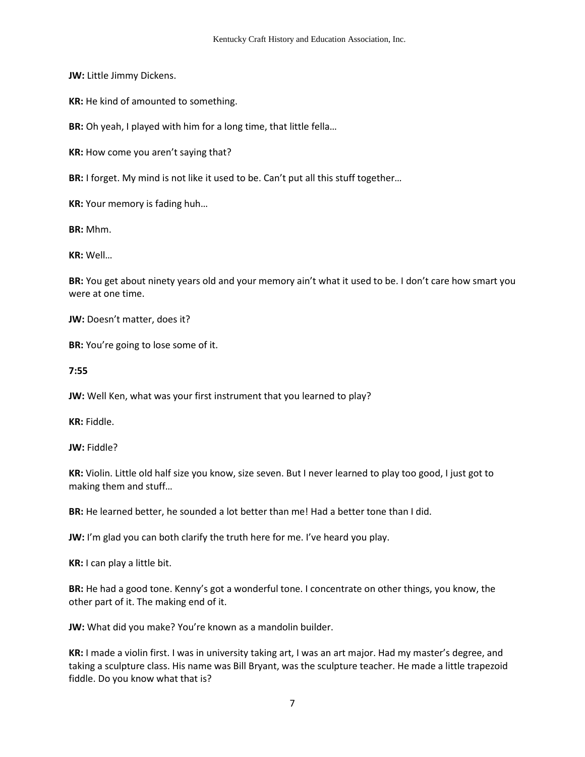**JW:** Little Jimmy Dickens.

**KR:** He kind of amounted to something.

**BR:** Oh yeah, I played with him for a long time, that little fella…

**KR:** How come you aren't saying that?

**BR:** I forget. My mind is not like it used to be. Can't put all this stuff together…

**KR:** Your memory is fading huh…

**BR:** Mhm.

**KR:** Well…

**BR:** You get about ninety years old and your memory ain't what it used to be. I don't care how smart you were at one time.

**JW:** Doesn't matter, does it?

**BR:** You're going to lose some of it.

**7:55** 

**JW:** Well Ken, what was your first instrument that you learned to play?

**KR:** Fiddle.

**JW:** Fiddle?

**KR:** Violin. Little old half size you know, size seven. But I never learned to play too good, I just got to making them and stuff…

**BR:** He learned better, he sounded a lot better than me! Had a better tone than I did.

**JW:** I'm glad you can both clarify the truth here for me. I've heard you play.

**KR:** I can play a little bit.

**BR:** He had a good tone. Kenny's got a wonderful tone. I concentrate on other things, you know, the other part of it. The making end of it.

**JW:** What did you make? You're known as a mandolin builder.

**KR:** I made a violin first. I was in university taking art, I was an art major. Had my master's degree, and taking a sculpture class. His name was Bill Bryant, was the sculpture teacher. He made a little trapezoid fiddle. Do you know what that is?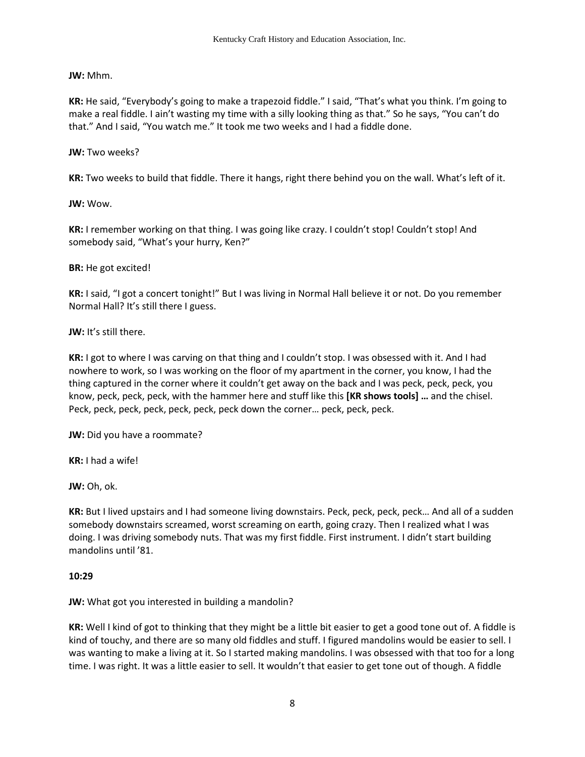**JW:** Mhm.

**KR:** He said, "Everybody's going to make a trapezoid fiddle." I said, "That's what you think. I'm going to make a real fiddle. I ain't wasting my time with a silly looking thing as that." So he says, "You can't do that." And I said, "You watch me." It took me two weeks and I had a fiddle done.

**JW:** Two weeks?

**KR:** Two weeks to build that fiddle. There it hangs, right there behind you on the wall. What's left of it.

**JW:** Wow.

**KR:** I remember working on that thing. I was going like crazy. I couldn't stop! Couldn't stop! And somebody said, "What's your hurry, Ken?"

**BR:** He got excited!

**KR:** I said, "I got a concert tonight!" But I was living in Normal Hall believe it or not. Do you remember Normal Hall? It's still there I guess.

**JW:** It's still there.

**KR:** I got to where I was carving on that thing and I couldn't stop. I was obsessed with it. And I had nowhere to work, so I was working on the floor of my apartment in the corner, you know, I had the thing captured in the corner where it couldn't get away on the back and I was peck, peck, peck, you know, peck, peck, peck, with the hammer here and stuff like this **[KR shows tools] …** and the chisel. Peck, peck, peck, peck, peck, peck, peck down the corner… peck, peck, peck.

**JW:** Did you have a roommate?

**KR:** I had a wife!

**JW:** Oh, ok.

**KR:** But I lived upstairs and I had someone living downstairs. Peck, peck, peck, peck… And all of a sudden somebody downstairs screamed, worst screaming on earth, going crazy. Then I realized what I was doing. I was driving somebody nuts. That was my first fiddle. First instrument. I didn't start building mandolins until '81.

## **10:29**

**JW:** What got you interested in building a mandolin?

**KR:** Well I kind of got to thinking that they might be a little bit easier to get a good tone out of. A fiddle is kind of touchy, and there are so many old fiddles and stuff. I figured mandolins would be easier to sell. I was wanting to make a living at it. So I started making mandolins. I was obsessed with that too for a long time. I was right. It was a little easier to sell. It wouldn't that easier to get tone out of though. A fiddle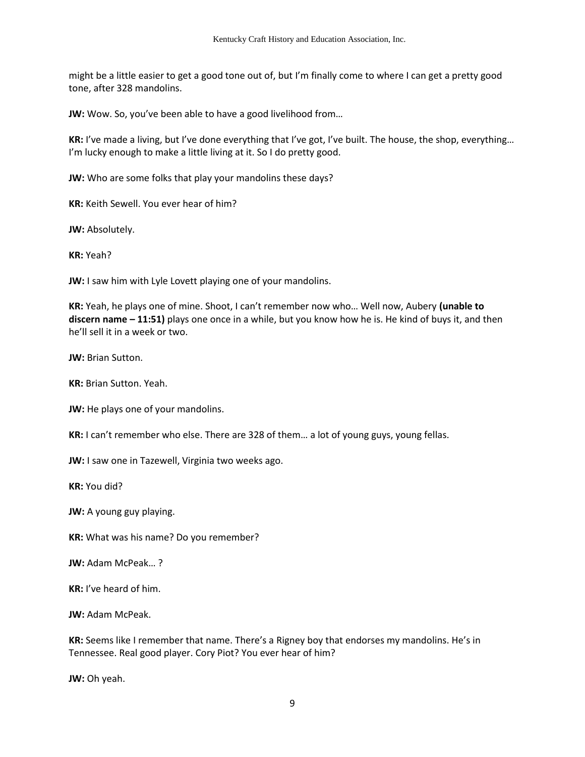might be a little easier to get a good tone out of, but I'm finally come to where I can get a pretty good tone, after 328 mandolins.

**JW:** Wow. So, you've been able to have a good livelihood from…

**KR:** I've made a living, but I've done everything that I've got, I've built. The house, the shop, everything… I'm lucky enough to make a little living at it. So I do pretty good.

**JW:** Who are some folks that play your mandolins these days?

**KR:** Keith Sewell. You ever hear of him?

**JW:** Absolutely.

**KR:** Yeah?

**JW:** I saw him with Lyle Lovett playing one of your mandolins.

**KR:** Yeah, he plays one of mine. Shoot, I can't remember now who… Well now, Aubery **(unable to discern name – 11:51)** plays one once in a while, but you know how he is. He kind of buys it, and then he'll sell it in a week or two.

**JW:** Brian Sutton.

**KR:** Brian Sutton. Yeah.

**JW:** He plays one of your mandolins.

**KR:** I can't remember who else. There are 328 of them… a lot of young guys, young fellas.

**JW:** I saw one in Tazewell, Virginia two weeks ago.

**KR:** You did?

**JW:** A young guy playing.

**KR:** What was his name? Do you remember?

**JW:** Adam McPeak… ?

**KR:** I've heard of him.

**JW:** Adam McPeak.

**KR:** Seems like I remember that name. There's a Rigney boy that endorses my mandolins. He's in Tennessee. Real good player. Cory Piot? You ever hear of him?

**JW:** Oh yeah.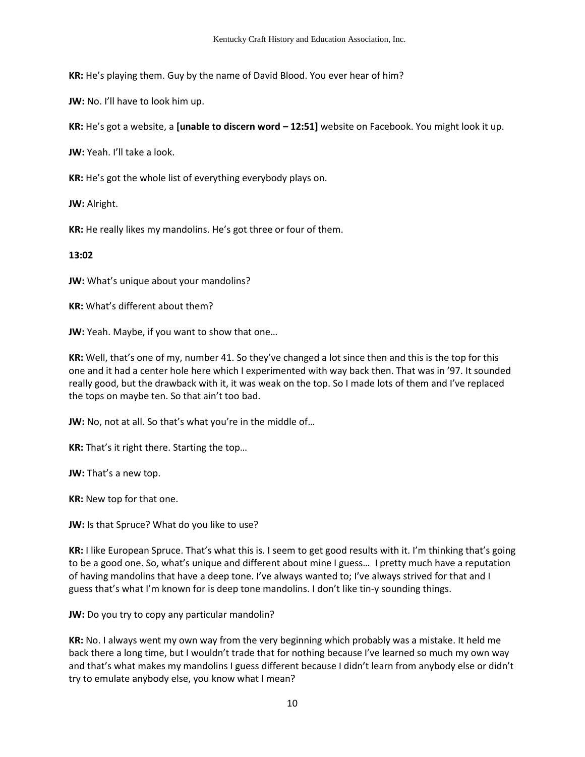**KR:** He's playing them. Guy by the name of David Blood. You ever hear of him?

**JW:** No. I'll have to look him up.

**KR:** He's got a website, a **[unable to discern word – 12:51]** website on Facebook. You might look it up.

**JW:** Yeah. I'll take a look.

**KR:** He's got the whole list of everything everybody plays on.

**JW:** Alright.

**KR:** He really likes my mandolins. He's got three or four of them.

**13:02**

**JW:** What's unique about your mandolins?

**KR:** What's different about them?

**JW:** Yeah. Maybe, if you want to show that one…

**KR:** Well, that's one of my, number 41. So they've changed a lot since then and this is the top for this one and it had a center hole here which I experimented with way back then. That was in '97. It sounded really good, but the drawback with it, it was weak on the top. So I made lots of them and I've replaced the tops on maybe ten. So that ain't too bad.

**JW:** No, not at all. So that's what you're in the middle of…

**KR:** That's it right there. Starting the top…

**JW:** That's a new top.

**KR:** New top for that one.

**JW:** Is that Spruce? What do you like to use?

**KR:** I like European Spruce. That's what this is. I seem to get good results with it. I'm thinking that's going to be a good one. So, what's unique and different about mine I guess… I pretty much have a reputation of having mandolins that have a deep tone. I've always wanted to; I've always strived for that and I guess that's what I'm known for is deep tone mandolins. I don't like tin-y sounding things.

**JW:** Do you try to copy any particular mandolin?

**KR:** No. I always went my own way from the very beginning which probably was a mistake. It held me back there a long time, but I wouldn't trade that for nothing because I've learned so much my own way and that's what makes my mandolins I guess different because I didn't learn from anybody else or didn't try to emulate anybody else, you know what I mean?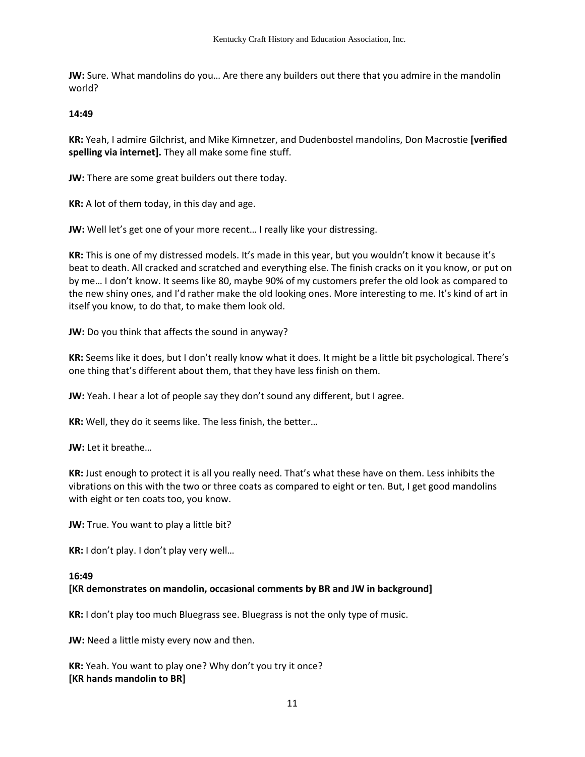**JW:** Sure. What mandolins do you… Are there any builders out there that you admire in the mandolin world?

**14:49**

**KR:** Yeah, I admire Gilchrist, and Mike Kimnetzer, and Dudenbostel mandolins, Don Macrostie **[verified spelling via internet].** They all make some fine stuff.

**JW:** There are some great builders out there today.

**KR:** A lot of them today, in this day and age.

**JW:** Well let's get one of your more recent… I really like your distressing.

**KR:** This is one of my distressed models. It's made in this year, but you wouldn't know it because it's beat to death. All cracked and scratched and everything else. The finish cracks on it you know, or put on by me… I don't know. It seems like 80, maybe 90% of my customers prefer the old look as compared to the new shiny ones, and I'd rather make the old looking ones. More interesting to me. It's kind of art in itself you know, to do that, to make them look old.

**JW:** Do you think that affects the sound in anyway?

**KR:** Seems like it does, but I don't really know what it does. It might be a little bit psychological. There's one thing that's different about them, that they have less finish on them.

**JW:** Yeah. I hear a lot of people say they don't sound any different, but I agree.

**KR:** Well, they do it seems like. The less finish, the better…

**JW:** Let it breathe…

**KR:** Just enough to protect it is all you really need. That's what these have on them. Less inhibits the vibrations on this with the two or three coats as compared to eight or ten. But, I get good mandolins with eight or ten coats too, you know.

**JW:** True. You want to play a little bit?

**KR:** I don't play. I don't play very well…

#### **16:49**

## **[KR demonstrates on mandolin, occasional comments by BR and JW in background]**

**KR:** I don't play too much Bluegrass see. Bluegrass is not the only type of music.

**JW:** Need a little misty every now and then.

**KR:** Yeah. You want to play one? Why don't you try it once? **[KR hands mandolin to BR]**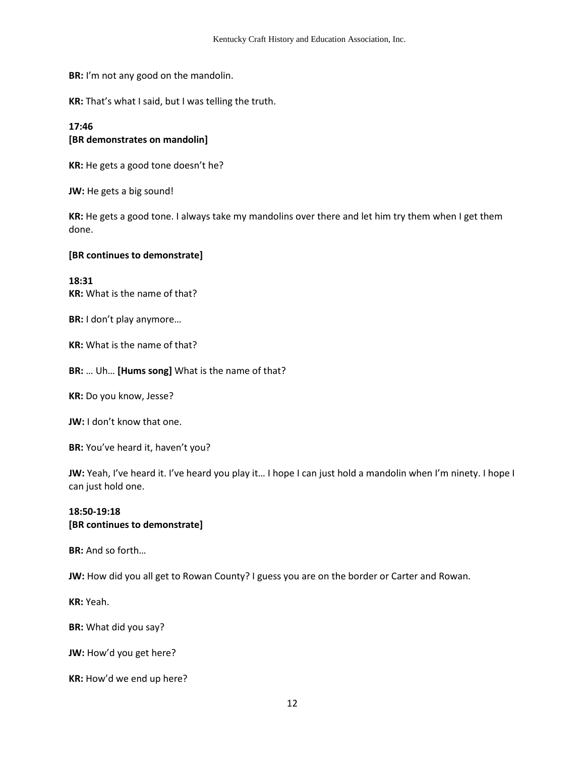**BR:** I'm not any good on the mandolin.

**KR:** That's what I said, but I was telling the truth.

## **17:46**

## **[BR demonstrates on mandolin]**

**KR:** He gets a good tone doesn't he?

**JW:** He gets a big sound!

**KR:** He gets a good tone. I always take my mandolins over there and let him try them when I get them done.

#### **[BR continues to demonstrate]**

#### **18:31 KR:** What is the name of that?

**BR:** I don't play anymore…

**KR:** What is the name of that?

## **BR:** … Uh… **[Hums song]** What is the name of that?

**KR:** Do you know, Jesse?

**JW:** I don't know that one.

**BR:** You've heard it, haven't you?

**JW:** Yeah, I've heard it. I've heard you play it... I hope I can just hold a mandolin when I'm ninety. I hope I can just hold one.

## **18:50-19:18 [BR continues to demonstrate]**

**BR:** And so forth…

**JW:** How did you all get to Rowan County? I guess you are on the border or Carter and Rowan.

**KR:** Yeah.

**BR:** What did you say?

**JW:** How'd you get here?

**KR:** How'd we end up here?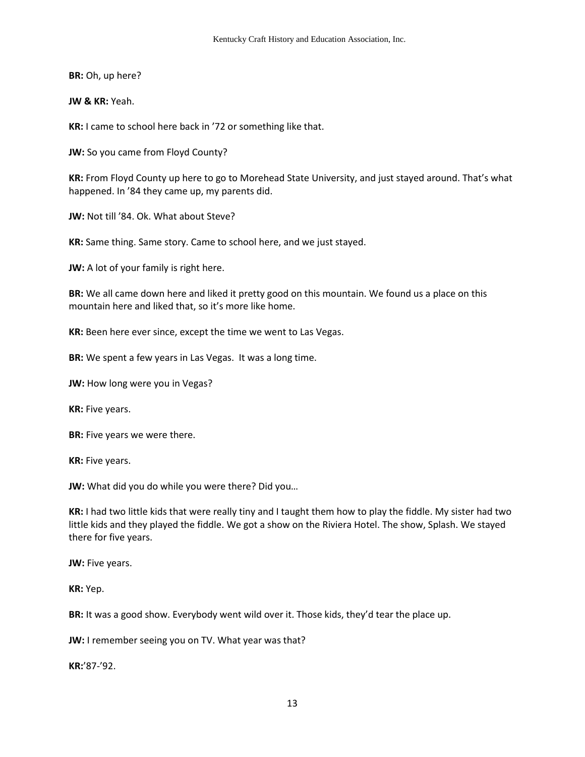**BR:** Oh, up here?

**JW & KR:** Yeah.

**KR:** I came to school here back in '72 or something like that.

**JW:** So you came from Floyd County?

**KR:** From Floyd County up here to go to Morehead State University, and just stayed around. That's what happened. In '84 they came up, my parents did.

**JW:** Not till '84. Ok. What about Steve?

**KR:** Same thing. Same story. Came to school here, and we just stayed.

**JW:** A lot of your family is right here.

**BR:** We all came down here and liked it pretty good on this mountain. We found us a place on this mountain here and liked that, so it's more like home.

**KR:** Been here ever since, except the time we went to Las Vegas.

**BR:** We spent a few years in Las Vegas. It was a long time.

**JW:** How long were you in Vegas?

**KR:** Five years.

**BR:** Five years we were there.

**KR:** Five years.

**JW:** What did you do while you were there? Did you…

**KR:** I had two little kids that were really tiny and I taught them how to play the fiddle. My sister had two little kids and they played the fiddle. We got a show on the Riviera Hotel. The show, Splash. We stayed there for five years.

**JW:** Five years.

**KR:** Yep.

**BR:** It was a good show. Everybody went wild over it. Those kids, they'd tear the place up.

**JW:** I remember seeing you on TV. What year was that?

**KR:**'87-'92.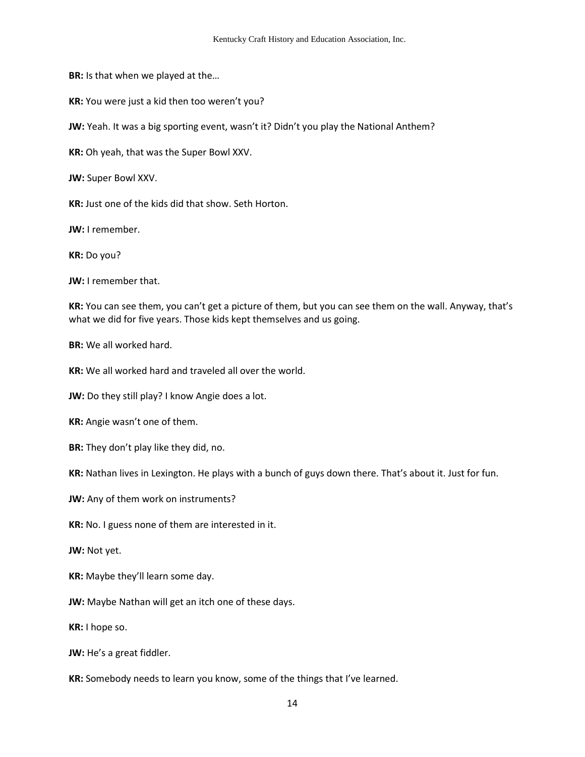**BR:** Is that when we played at the…

**KR:** You were just a kid then too weren't you?

**JW:** Yeah. It was a big sporting event, wasn't it? Didn't you play the National Anthem?

**KR:** Oh yeah, that was the Super Bowl XXV.

**JW:** Super Bowl XXV.

**KR:** Just one of the kids did that show. Seth Horton.

**JW:** I remember.

**KR:** Do you?

**JW:** I remember that.

**KR:** You can see them, you can't get a picture of them, but you can see them on the wall. Anyway, that's what we did for five years. Those kids kept themselves and us going.

**BR:** We all worked hard.

**KR:** We all worked hard and traveled all over the world.

**JW:** Do they still play? I know Angie does a lot.

**KR:** Angie wasn't one of them.

**BR:** They don't play like they did, no.

**KR:** Nathan lives in Lexington. He plays with a bunch of guys down there. That's about it. Just for fun.

**JW:** Any of them work on instruments?

**KR:** No. I guess none of them are interested in it.

**JW:** Not yet.

**KR:** Maybe they'll learn some day.

**JW:** Maybe Nathan will get an itch one of these days.

**KR:** I hope so.

**JW:** He's a great fiddler.

**KR:** Somebody needs to learn you know, some of the things that I've learned.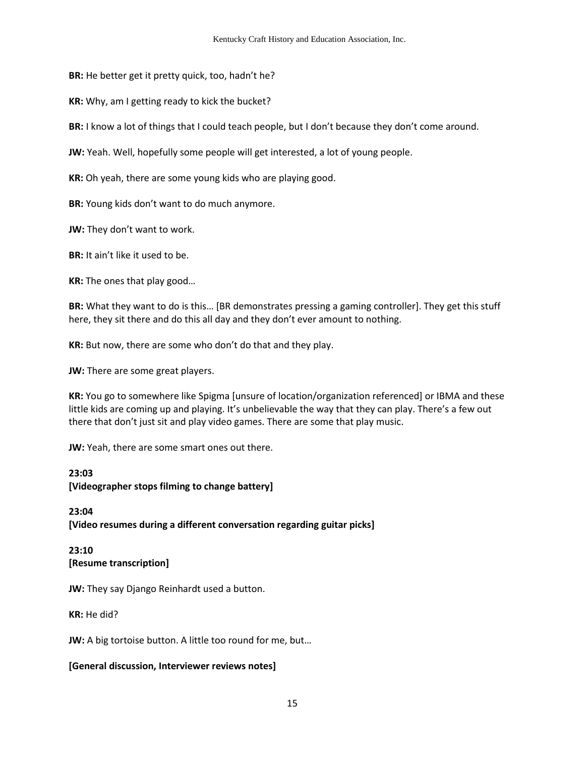**BR:** He better get it pretty quick, too, hadn't he?

**KR:** Why, am I getting ready to kick the bucket?

**BR:** I know a lot of things that I could teach people, but I don't because they don't come around.

**JW:** Yeah. Well, hopefully some people will get interested, a lot of young people.

**KR:** Oh yeah, there are some young kids who are playing good.

**BR:** Young kids don't want to do much anymore.

**JW:** They don't want to work.

**BR:** It ain't like it used to be.

**KR:** The ones that play good…

**BR:** What they want to do is this… [BR demonstrates pressing a gaming controller]. They get this stuff here, they sit there and do this all day and they don't ever amount to nothing.

**KR:** But now, there are some who don't do that and they play.

**JW:** There are some great players.

**KR:** You go to somewhere like Spigma [unsure of location/organization referenced] or IBMA and these little kids are coming up and playing. It's unbelievable the way that they can play. There's a few out there that don't just sit and play video games. There are some that play music.

**JW:** Yeah, there are some smart ones out there.

### **23:03**

**[Videographer stops filming to change battery]** 

**23:04 [Video resumes during a different conversation regarding guitar picks]** 

# **23:10 [Resume transcription]**

**JW:** They say Django Reinhardt used a button.

**KR:** He did?

**JW:** A big tortoise button. A little too round for me, but…

## **[General discussion, Interviewer reviews notes]**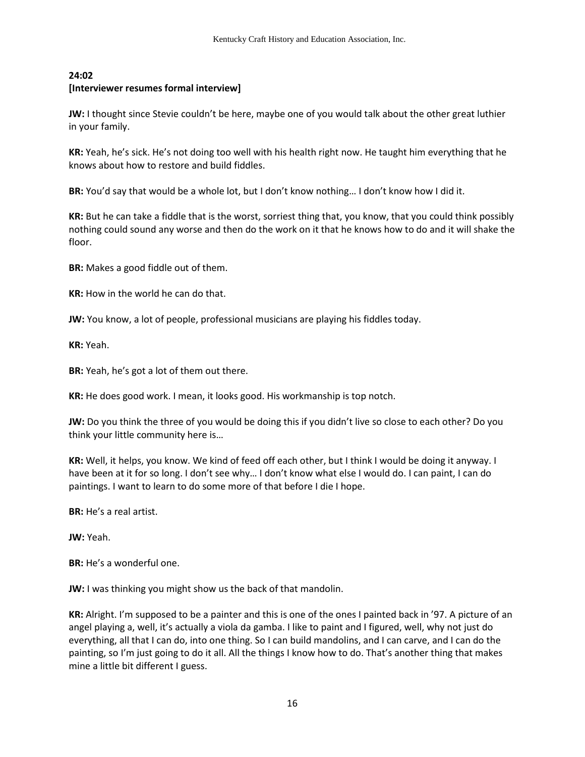## **24:02 [Interviewer resumes formal interview]**

**JW:** I thought since Stevie couldn't be here, maybe one of you would talk about the other great luthier in your family.

**KR:** Yeah, he's sick. He's not doing too well with his health right now. He taught him everything that he knows about how to restore and build fiddles.

**BR:** You'd say that would be a whole lot, but I don't know nothing… I don't know how I did it.

**KR:** But he can take a fiddle that is the worst, sorriest thing that, you know, that you could think possibly nothing could sound any worse and then do the work on it that he knows how to do and it will shake the floor.

**BR:** Makes a good fiddle out of them.

**KR:** How in the world he can do that.

**JW:** You know, a lot of people, professional musicians are playing his fiddles today.

**KR:** Yeah.

**BR:** Yeah, he's got a lot of them out there.

**KR:** He does good work. I mean, it looks good. His workmanship is top notch.

**JW:** Do you think the three of you would be doing this if you didn't live so close to each other? Do you think your little community here is…

**KR:** Well, it helps, you know. We kind of feed off each other, but I think I would be doing it anyway. I have been at it for so long. I don't see why… I don't know what else I would do. I can paint, I can do paintings. I want to learn to do some more of that before I die I hope.

**BR:** He's a real artist.

**JW:** Yeah.

**BR:** He's a wonderful one.

**JW:** I was thinking you might show us the back of that mandolin.

**KR:** Alright. I'm supposed to be a painter and this is one of the ones I painted back in '97. A picture of an angel playing a, well, it's actually a viola da gamba. I like to paint and I figured, well, why not just do everything, all that I can do, into one thing. So I can build mandolins, and I can carve, and I can do the painting, so I'm just going to do it all. All the things I know how to do. That's another thing that makes mine a little bit different I guess.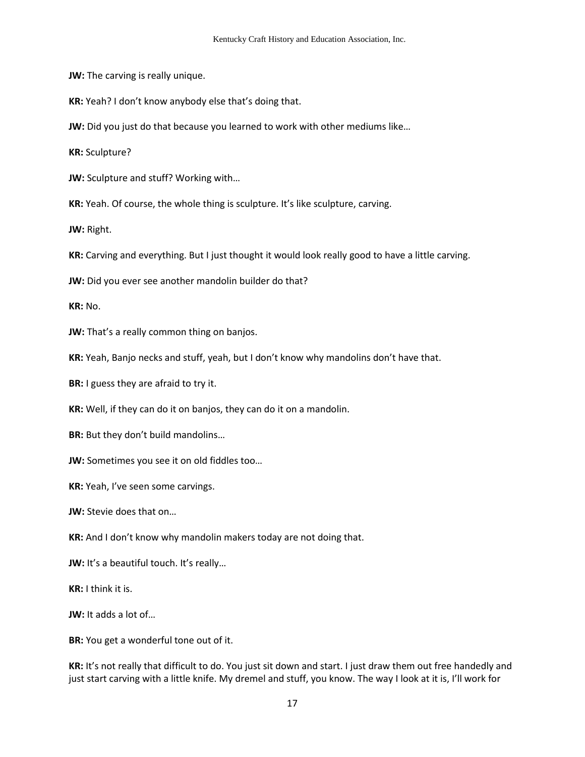**JW:** The carving is really unique.

**KR:** Yeah? I don't know anybody else that's doing that.

**JW:** Did you just do that because you learned to work with other mediums like...

**KR:** Sculpture?

**JW:** Sculpture and stuff? Working with…

**KR:** Yeah. Of course, the whole thing is sculpture. It's like sculpture, carving.

**JW:** Right.

**KR:** Carving and everything. But I just thought it would look really good to have a little carving.

**JW:** Did you ever see another mandolin builder do that?

**KR:** No.

**JW:** That's a really common thing on banjos.

**KR:** Yeah, Banjo necks and stuff, yeah, but I don't know why mandolins don't have that.

**BR:** I guess they are afraid to try it.

**KR:** Well, if they can do it on banjos, they can do it on a mandolin.

**BR:** But they don't build mandolins…

**JW:** Sometimes you see it on old fiddles too…

**KR:** Yeah, I've seen some carvings.

**JW:** Stevie does that on…

**KR:** And I don't know why mandolin makers today are not doing that.

JW: It's a beautiful touch. It's really...

**KR:** I think it is.

**JW:** It adds a lot of…

**BR:** You get a wonderful tone out of it.

**KR:** It's not really that difficult to do. You just sit down and start. I just draw them out free handedly and just start carving with a little knife. My dremel and stuff, you know. The way I look at it is, I'll work for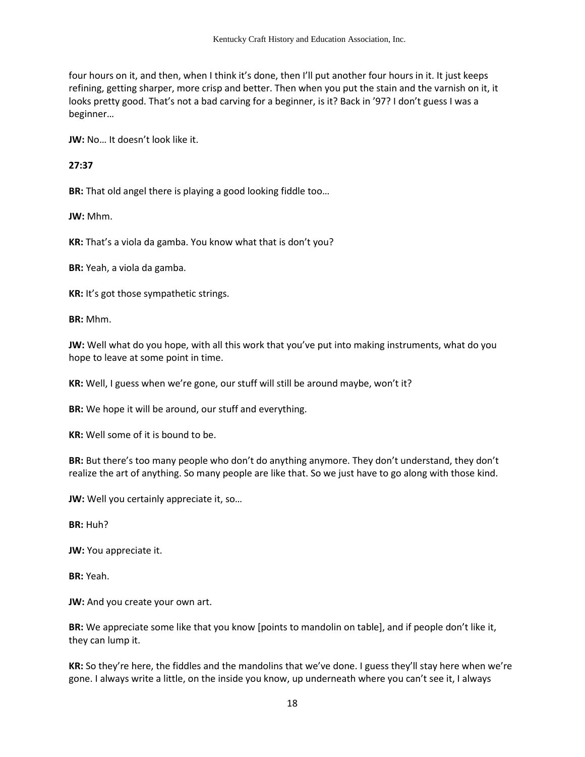four hours on it, and then, when I think it's done, then I'll put another four hours in it. It just keeps refining, getting sharper, more crisp and better. Then when you put the stain and the varnish on it, it looks pretty good. That's not a bad carving for a beginner, is it? Back in '97? I don't guess I was a beginner…

**JW:** No… It doesn't look like it.

**27:37**

**BR:** That old angel there is playing a good looking fiddle too…

**JW:** Mhm.

**KR:** That's a viola da gamba. You know what that is don't you?

**BR:** Yeah, a viola da gamba.

**KR:** It's got those sympathetic strings.

**BR:** Mhm.

**JW:** Well what do you hope, with all this work that you've put into making instruments, what do you hope to leave at some point in time.

**KR:** Well, I guess when we're gone, our stuff will still be around maybe, won't it?

**BR:** We hope it will be around, our stuff and everything.

**KR:** Well some of it is bound to be.

**BR:** But there's too many people who don't do anything anymore. They don't understand, they don't realize the art of anything. So many people are like that. So we just have to go along with those kind.

**JW:** Well you certainly appreciate it, so…

**BR:** Huh?

**JW:** You appreciate it.

**BR:** Yeah.

**JW:** And you create your own art.

**BR:** We appreciate some like that you know [points to mandolin on table], and if people don't like it, they can lump it.

**KR:** So they're here, the fiddles and the mandolins that we've done. I guess they'll stay here when we're gone. I always write a little, on the inside you know, up underneath where you can't see it, I always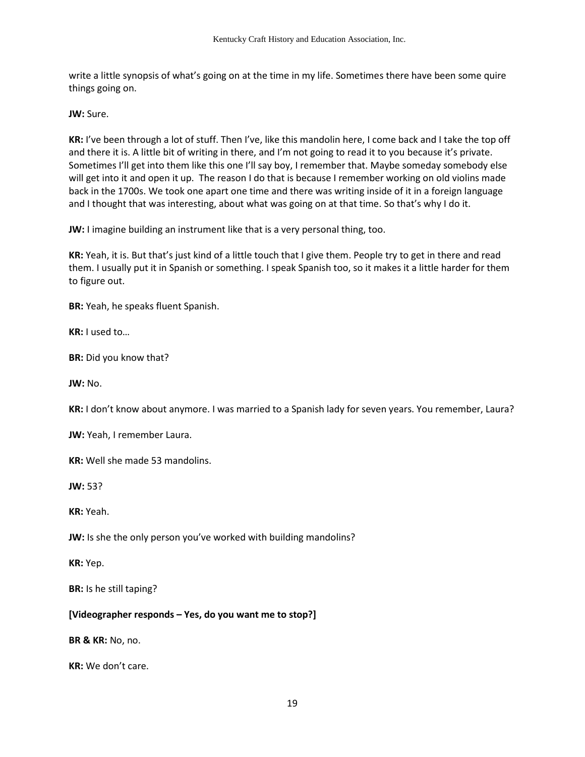write a little synopsis of what's going on at the time in my life. Sometimes there have been some quire things going on.

**JW:** Sure.

**KR:** I've been through a lot of stuff. Then I've, like this mandolin here, I come back and I take the top off and there it is. A little bit of writing in there, and I'm not going to read it to you because it's private. Sometimes I'll get into them like this one I'll say boy, I remember that. Maybe someday somebody else will get into it and open it up. The reason I do that is because I remember working on old violins made back in the 1700s. We took one apart one time and there was writing inside of it in a foreign language and I thought that was interesting, about what was going on at that time. So that's why I do it.

**JW:** I imagine building an instrument like that is a very personal thing, too.

**KR:** Yeah, it is. But that's just kind of a little touch that I give them. People try to get in there and read them. I usually put it in Spanish or something. I speak Spanish too, so it makes it a little harder for them to figure out.

**BR:** Yeah, he speaks fluent Spanish.

**KR:** I used to…

**BR:** Did you know that?

**JW:** No.

**KR:** I don't know about anymore. I was married to a Spanish lady for seven years. You remember, Laura?

**JW:** Yeah, I remember Laura.

**KR:** Well she made 53 mandolins.

**JW:** 53?

**KR:** Yeah.

**JW:** Is she the only person you've worked with building mandolins?

**KR:** Yep.

**BR:** Is he still taping?

## **[Videographer responds – Yes, do you want me to stop?]**

**BR & KR:** No, no.

**KR:** We don't care.